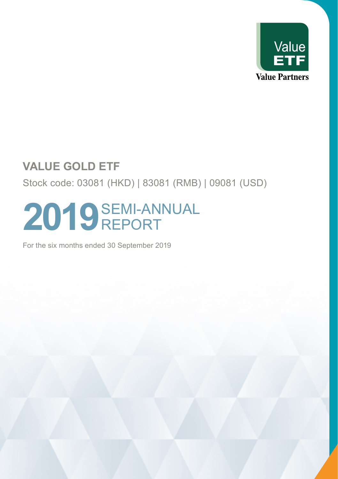

Stock code: 03081 (HKD) | 83081 (RMB) | 09081 (USD)

# 2019<sup>SEMI-ANNUAL</sup> REPORT

For the six months ended 30 September 2019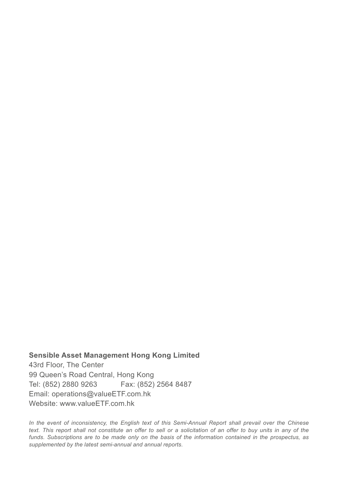**Sensible Asset Management Hong Kong Limited** 43rd Floor, The Center 99 Queen's Road Central, Hong Kong Tel: (852) 2880 9263 Fax: (852) 2564 8487 Email: operations@valueETF.com.hk Website: www.valueETF.com.hk

*In the event of inconsistency, the English text of this Semi-Annual Report shall prevail over the Chinese text. This report shall not constitute an offer to sell or a solicitation of an offer to buy units in any of the funds. Subscriptions are to be made only on the basis of the information contained in the prospectus, as supplemented by the latest semi-annual and annual reports.*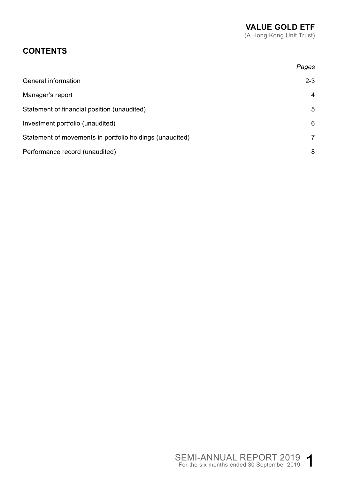## **CONTENTS**

|                                                          | Pages   |
|----------------------------------------------------------|---------|
| General information                                      | $2 - 3$ |
| Manager's report                                         | 4       |
| Statement of financial position (unaudited)              | 5       |
| Investment portfolio (unaudited)                         | 6       |
| Statement of movements in portfolio holdings (unaudited) | 7       |
| Performance record (unaudited)                           | 8       |
|                                                          |         |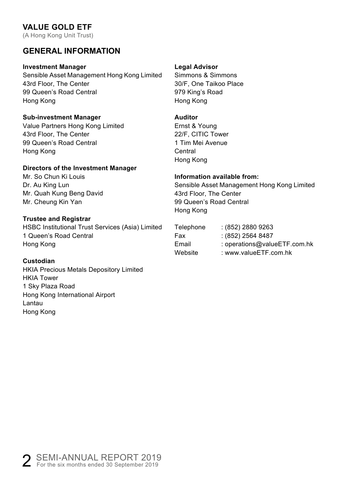(A Hong Kong Unit Trust)

## **GENERAL INFORMATION**

#### **Investment Manager**

Sensible Asset Management Hong Kong Limited 43rd Floor, The Center 99 Queen's Road Central Hong Kong

#### **Sub-investment Manager**

Value Partners Hong Kong Limited 43rd Floor, The Center 99 Queen's Road Central Hong Kong

#### **Directors of the Investment Manager**

Mr. So Chun Ki Louis Dr. Au King Lun Mr. Quah Kung Beng David Mr. Cheung Kin Yan

#### **Trustee and Registrar**

HSBC Institutional Trust Services (Asia) Limited 1 Queen's Road Central Hong Kong

#### **Custodian**

HKIA Precious Metals Depository Limited HKIA Tower 1 Sky Plaza Road Hong Kong International Airport Lantau Hong Kong

#### **Legal Advisor**

Simmons & Simmons 30/F, One Taikoo Place 979 King's Road Hong Kong

#### **Auditor**

Ernst & Young 22/F, CITIC Tower 1 Tim Mei Avenue Central Hong Kong

#### **Information available from:**

Sensible Asset Management Hong Kong Limited 43rd Floor, The Center 99 Queen's Road Central Hong Kong

| $(852)$ 2880 9263            |
|------------------------------|
| $(852)$ 2564 8487            |
| : operations@valueETF.com.hk |
| : www.valueETF.com.hk        |
|                              |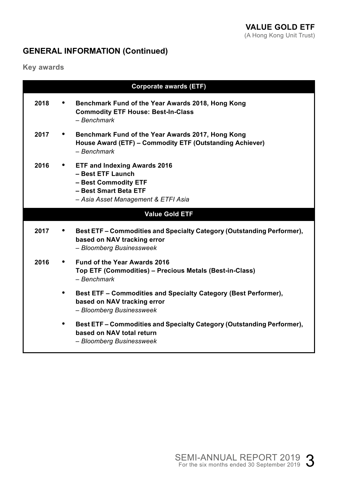## **GENERAL INFORMATION (Continued)**

**Key awards**

| <b>Corporate awards (ETF)</b> |           |                                                                                                                                             |  |
|-------------------------------|-----------|---------------------------------------------------------------------------------------------------------------------------------------------|--|
| 2018                          | ٠         | Benchmark Fund of the Year Awards 2018, Hong Kong<br><b>Commodity ETF House: Best-In-Class</b><br>- Benchmark                               |  |
| 2017                          | $\bullet$ | Benchmark Fund of the Year Awards 2017, Hong Kong<br>House Award (ETF) - Commodity ETF (Outstanding Achiever)<br>- Benchmark                |  |
| 2016                          |           | • ETF and Indexing Awards 2016<br>- Best ETF Launch<br>- Best Commodity ETF<br>- Best Smart Beta ETF<br>- Asia Asset Management & ETFI Asia |  |
| Value Gold ETF                |           |                                                                                                                                             |  |
| 2017                          |           | Best ETF - Commodities and Specialty Category (Outstanding Performer),<br>based on NAV tracking error<br>- Bloomberg Businessweek           |  |
| 2016                          | $\bullet$ | Fund of the Year Awards 2016<br>Top ETF (Commodities) - Precious Metals (Best-in-Class)<br>- Benchmark                                      |  |
|                               | ٠         | Best ETF – Commodities and Specialty Category (Best Performer),<br>based on NAV tracking error<br>- Bloomberg Businessweek                  |  |
|                               | ٠         | Best ETF – Commodities and Specialty Category (Outstanding Performer),<br>based on NAV total return<br>- Bloomberg Businessweek             |  |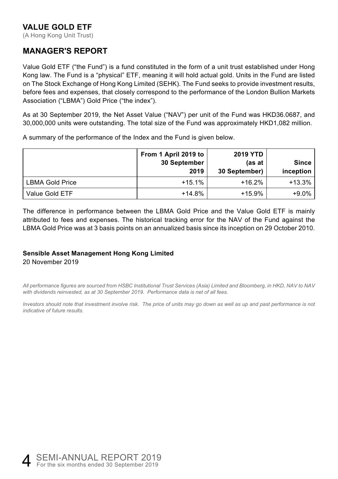(A Hong Kong Unit Trust)

## **MANAGER'S REPORT**

Value Gold ETF ("the Fund") is a fund constituted in the form of a unit trust established under Hong Kong law. The Fund is a "physical" ETF, meaning it will hold actual gold. Units in the Fund are listed on The Stock Exchange of Hong Kong Limited (SEHK). The Fund seeks to provide investment results, before fees and expenses, that closely correspond to the performance of the London Bullion Markets Association ("LBMA") Gold Price ("the index").

As at 30 September 2019, the Net Asset Value ("NAV") per unit of the Fund was HKD36.0687, and 30,000,000 units were outstanding. The total size of the Fund was approximately HKD1,082 million.

A summary of the performance of the Index and the Fund is given below.

|                        | From 1 April 2019 to<br>30 September<br>2019 | <b>2019 YTD</b><br>(as at<br>30 September) | <b>Since</b><br>inception |
|------------------------|----------------------------------------------|--------------------------------------------|---------------------------|
| <b>LBMA Gold Price</b> | $+15.1%$                                     | $+16.2%$                                   | $+13.3%$                  |
| Value Gold ETF         | $+14.8%$                                     | $+15.9%$                                   | $+9.0\%$                  |

The difference in performance between the LBMA Gold Price and the Value Gold ETF is mainly attributed to fees and expenses. The historical tracking error for the NAV of the Fund against the LBMA Gold Price was at 3 basis points on an annualized basis since its inception on 29 October 2010.

#### **Sensible Asset Management Hong Kong Limited** 20 November 2019

*All performance figures are sourced from HSBC Institutional Trust Services (Asia) Limited and Bloomberg, in HKD, NAV to NAV with dividends reinvested, as at 30 September 2019. Performance data is net of all fees.*

*Investors should note that investment involve risk. The price of units may go down as well as up and past performance is not indicative of future results.* 

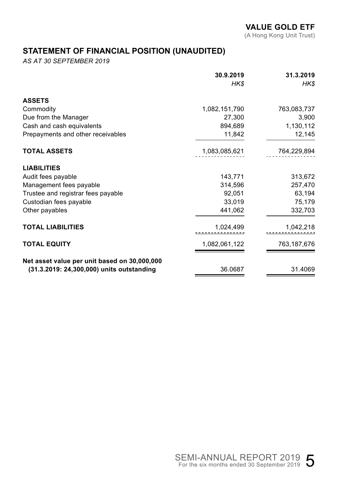(A Hong Kong Unit Trust)

## **STATEMENT OF FINANCIAL POSITION (UNAUDITED)**

*AS AT 30 SEPTEMBER 2019*

|                                              | 30.9.2019     | 31.3.2019   |
|----------------------------------------------|---------------|-------------|
|                                              | HK\$          | <b>HKS</b>  |
| <b>ASSETS</b>                                |               |             |
| Commodity                                    | 1,082,151,790 | 763,083,737 |
| Due from the Manager                         | 27,300        | 3,900       |
| Cash and cash equivalents                    | 894,689       | 1,130,112   |
| Prepayments and other receivables            | 11,842        | 12,145      |
| <b>TOTAL ASSETS</b>                          | 1,083,085,621 | 764,229,894 |
| <b>LIABILITIES</b>                           |               |             |
| Audit fees payable                           | 143,771       | 313,672     |
| Management fees payable                      | 314,596       | 257,470     |
| Trustee and registrar fees payable           | 92,051        | 63,194      |
| Custodian fees payable                       | 33,019        | 75,179      |
| Other payables                               | 441,062       | 332,703     |
| <b>TOTAL LIABILITIES</b>                     | 1,024,499     | 1,042,218   |
| <b>TOTAL EQUITY</b>                          | 1,082,061,122 | 763,187,676 |
| Net asset value per unit based on 30,000,000 |               |             |
| (31.3.2019: 24,300,000) units outstanding    | 36.0687       | 31.4069     |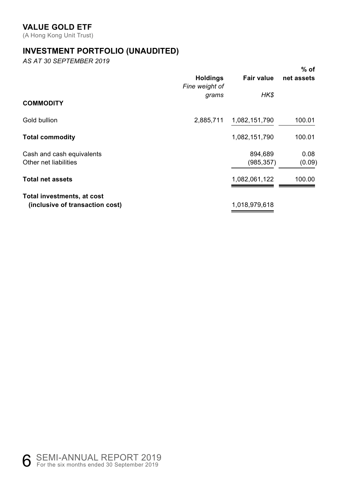(A Hong Kong Unit Trust)

## **INVESTMENT PORTFOLIO (UNAUDITED)**

*AS AT 30 SEPTEMBER 2019*

|                                                               |                                   |                       | % of           |
|---------------------------------------------------------------|-----------------------------------|-----------------------|----------------|
|                                                               | <b>Holdings</b><br>Fine weight of | Fair value            | net assets     |
| <b>COMMODITY</b>                                              | grams                             | HK\$                  |                |
| Gold bullion                                                  | 2,885,711                         | 1,082,151,790         | 100.01         |
| <b>Total commodity</b>                                        |                                   | 1,082,151,790         | 100.01         |
| Cash and cash equivalents<br>Other net liabilities            |                                   | 894,689<br>(985, 357) | 0.08<br>(0.09) |
| <b>Total net assets</b>                                       |                                   | 1,082,061,122         | 100.00         |
| Total investments, at cost<br>(inclusive of transaction cost) |                                   | 1,018,979,618         |                |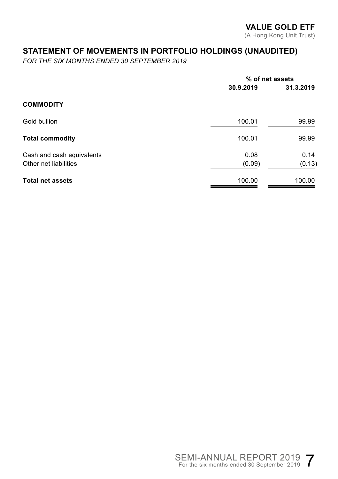## **STATEMENT OF MOVEMENTS IN PORTFOLIO HOLDINGS (UNAUDITED)**

*FOR THE SIX MONTHS ENDED 30 SEPTEMBER 2019*

|                                                    | % of net assets |                |
|----------------------------------------------------|-----------------|----------------|
|                                                    | 30.9.2019       | 31.3.2019      |
| <b>COMMODITY</b>                                   |                 |                |
| Gold bullion                                       | 100.01          | 99.99          |
| <b>Total commodity</b>                             | 100.01          | 99.99          |
| Cash and cash equivalents<br>Other net liabilities | 0.08<br>(0.09)  | 0.14<br>(0.13) |
| <b>Total net assets</b>                            | 100.00          | 100.00         |